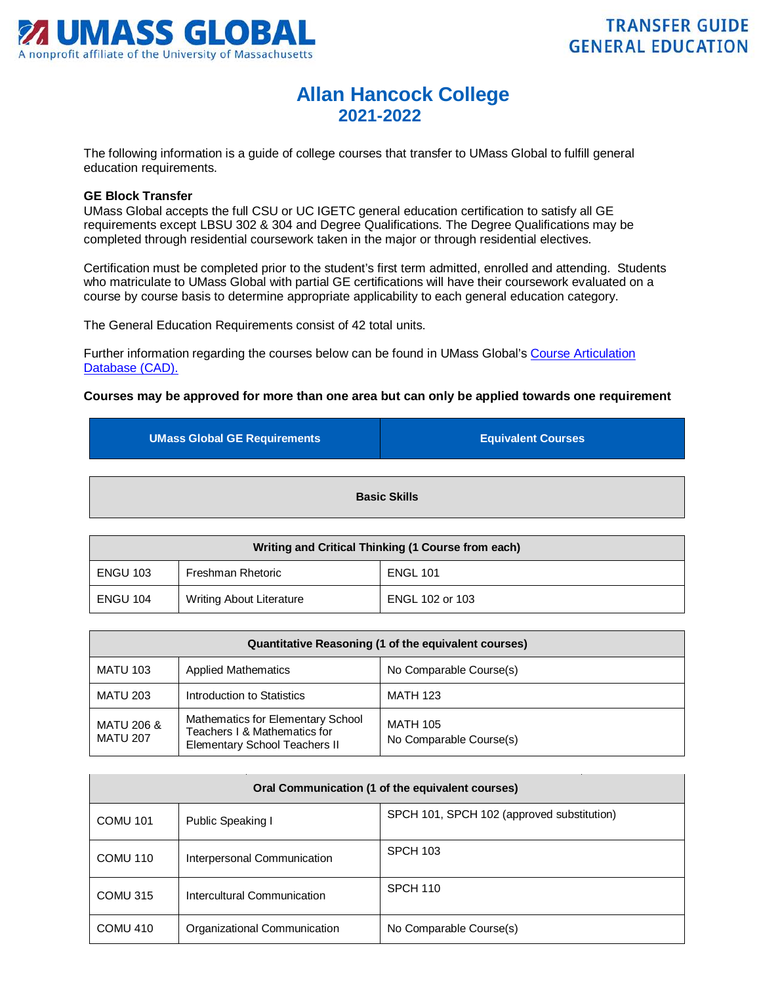

## **Allan Hancock College 2021-2022**

The following information is a guide of college courses that transfer to UMass Global to fulfill general education requirements.

## **GE Block Transfer**

UMass Global accepts the full CSU or UC IGETC general education certification to satisfy all GE requirements except LBSU 302 & 304 and Degree Qualifications. The Degree Qualifications may be completed through residential coursework taken in the major or through residential electives.

Certification must be completed prior to the student's first term admitted, enrolled and attending. Students who matriculate to UMass Global with partial GE certifications will have their coursework evaluated on a course by course basis to determine appropriate applicability to each general education category.

The General Education Requirements consist of 42 total units.

Further information regarding the courses below can be found in UMass Global's Course Articulation Database (CAD).

## **Courses may be approved for more than one area but can only be applied towards one requirement**

| <b>UMass Global GE Requirements</b> | <b>Equivalent Courses</b> |
|-------------------------------------|---------------------------|
| <b>Basic Skills</b>                 |                           |
|                                     |                           |

| Writing and Critical Thinking (1 Course from each) |                                 |                 |
|----------------------------------------------------|---------------------------------|-----------------|
| <b>ENGU 103</b>                                    | Freshman Rhetoric               | <b>ENGL 101</b> |
| <b>ENGU 104</b>                                    | <b>Writing About Literature</b> | ENGL 102 or 103 |

| Quantitative Reasoning (1 of the equivalent courses) |                                                                                                    |                                            |
|------------------------------------------------------|----------------------------------------------------------------------------------------------------|--------------------------------------------|
| <b>MATU 103</b>                                      | <b>Applied Mathematics</b>                                                                         | No Comparable Course(s)                    |
| <b>MATU 203</b>                                      | Introduction to Statistics                                                                         | <b>MATH 123</b>                            |
| <b>MATU 206 &amp;</b><br><b>MATU 207</b>             | Mathematics for Elementary School<br>Teachers I & Mathematics for<br>Elementary School Teachers II | <b>MATH 105</b><br>No Comparable Course(s) |

| Oral Communication (1 of the equivalent courses) |                              |                                            |
|--------------------------------------------------|------------------------------|--------------------------------------------|
| <b>COMU 101</b>                                  | Public Speaking I            | SPCH 101, SPCH 102 (approved substitution) |
| COMU 110                                         | Interpersonal Communication  | SPCH 103                                   |
| COMU 315                                         | Intercultural Communication  | SPCH 110                                   |
| COMU <sub>410</sub>                              | Organizational Communication | No Comparable Course(s)                    |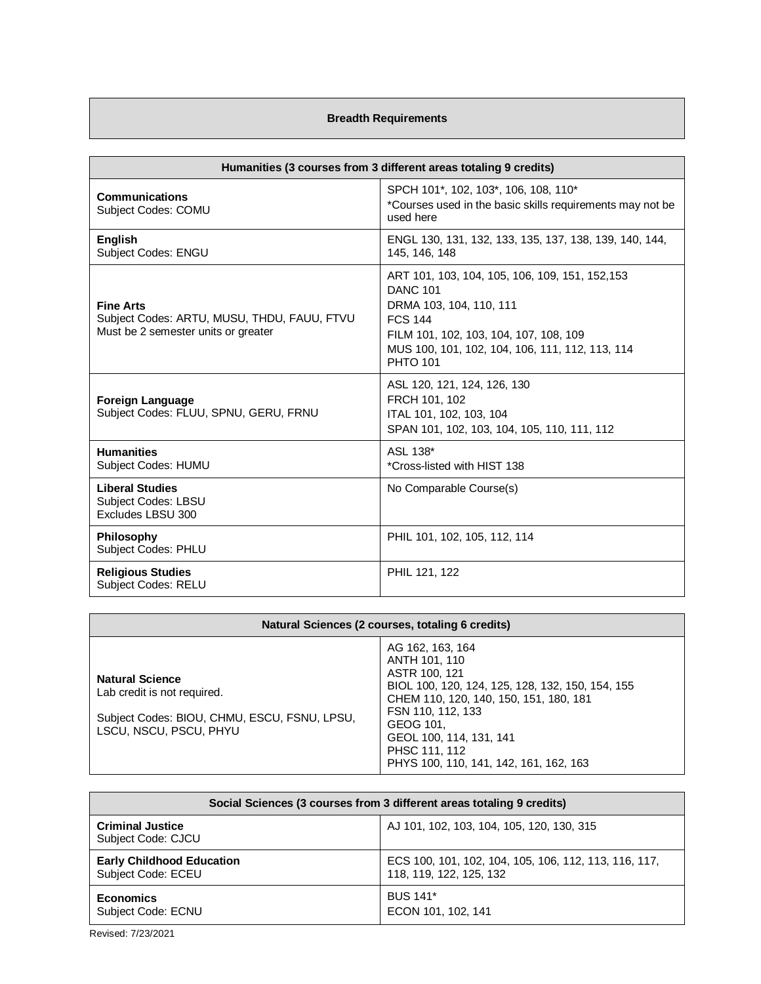## **Breadth Requirements**

| Humanities (3 courses from 3 different areas totaling 9 credits)                                       |                                                                                                                                                                                                                                 |  |
|--------------------------------------------------------------------------------------------------------|---------------------------------------------------------------------------------------------------------------------------------------------------------------------------------------------------------------------------------|--|
| <b>Communications</b><br><b>Subject Codes: COMU</b>                                                    | SPCH 101*, 102, 103*, 106, 108, 110*<br>*Courses used in the basic skills requirements may not be<br>used here                                                                                                                  |  |
| <b>English</b><br><b>Subject Codes: ENGU</b>                                                           | ENGL 130, 131, 132, 133, 135, 137, 138, 139, 140, 144,<br>145, 146, 148                                                                                                                                                         |  |
| <b>Fine Arts</b><br>Subject Codes: ARTU, MUSU, THDU, FAUU, FTVU<br>Must be 2 semester units or greater | ART 101, 103, 104, 105, 106, 109, 151, 152, 153<br><b>DANC 101</b><br>DRMA 103, 104, 110, 111<br><b>FCS 144</b><br>FILM 101, 102, 103, 104, 107, 108, 109<br>MUS 100, 101, 102, 104, 106, 111, 112, 113, 114<br><b>PHTO 101</b> |  |
| <b>Foreign Language</b><br>Subject Codes: FLUU, SPNU, GERU, FRNU                                       | ASL 120, 121, 124, 126, 130<br>FRCH 101, 102<br>ITAL 101, 102, 103, 104<br>SPAN 101, 102, 103, 104, 105, 110, 111, 112                                                                                                          |  |
| <b>Humanities</b><br>Subject Codes: HUMU                                                               | ASL 138*<br>*Cross-listed with HIST 138                                                                                                                                                                                         |  |
| <b>Liberal Studies</b><br><b>Subject Codes: LBSU</b><br>Excludes LBSU 300                              | No Comparable Course(s)                                                                                                                                                                                                         |  |
| <b>Philosophy</b><br>Subject Codes: PHLU                                                               | PHIL 101, 102, 105, 112, 114                                                                                                                                                                                                    |  |
| <b>Religious Studies</b><br><b>Subject Codes: RELU</b>                                                 | PHIL 121, 122                                                                                                                                                                                                                   |  |

| Natural Sciences (2 courses, totaling 6 credits)                                                                                |                                                                                                                                                                                                                                                                          |  |
|---------------------------------------------------------------------------------------------------------------------------------|--------------------------------------------------------------------------------------------------------------------------------------------------------------------------------------------------------------------------------------------------------------------------|--|
| <b>Natural Science</b><br>Lab credit is not required.<br>Subject Codes: BIOU, CHMU, ESCU, FSNU, LPSU,<br>LSCU. NSCU. PSCU. PHYU | AG 162, 163, 164<br>ANTH 101, 110<br>ASTR 100, 121<br>BIOL 100, 120, 124, 125, 128, 132, 150, 154, 155<br>CHEM 110, 120, 140, 150, 151, 180, 181<br>FSN 110, 112, 133<br>GEOG 101.<br>GEOL 100, 114, 131, 141<br>PHSC 111, 112<br>PHYS 100, 110, 141, 142, 161, 162, 163 |  |

| Social Sciences (3 courses from 3 different areas totaling 9 credits) |                                                       |  |
|-----------------------------------------------------------------------|-------------------------------------------------------|--|
| <b>Criminal Justice</b><br>Subject Code: CJCU                         | AJ 101, 102, 103, 104, 105, 120, 130, 315             |  |
| <b>Early Childhood Education</b>                                      | ECS 100, 101, 102, 104, 105, 106, 112, 113, 116, 117, |  |
| Subject Code: ECEU                                                    | 118, 119, 122, 125, 132                               |  |
| <b>Economics</b>                                                      | <b>BUS 141*</b>                                       |  |
| Subject Code: ECNU                                                    | ECON 101, 102, 141                                    |  |